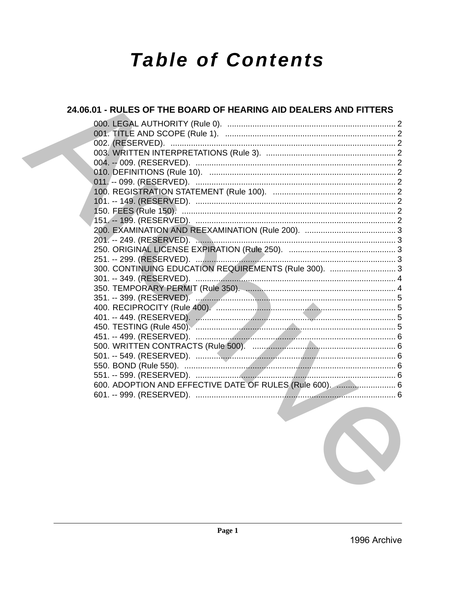# **Table of Contents**

# 24.06.01 - RULES OF THE BOARD OF HEARING AID DEALERS AND FITTERS 300. CONTINUING EDUCATION REQUIREMENTS (Rule 300). ............................3 600. ADOPTION AND EFFECTIVE DATE OF RULES (Rule 600). ........................... 6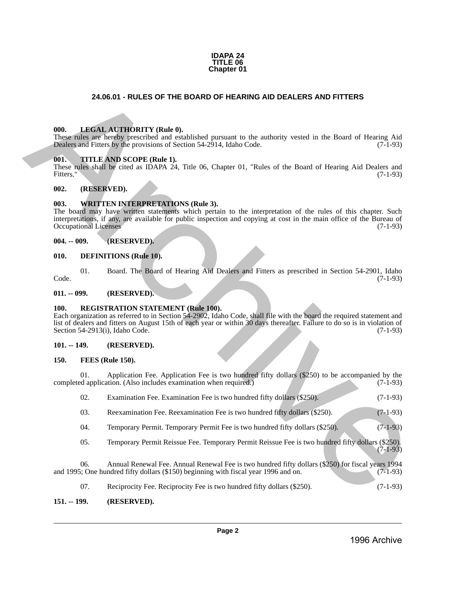

# **24.06.01 - RULES OF THE BOARD OF HEARING AID DEALERS AND FITTERS**

#### <span id="page-1-1"></span>**000. LEGAL AUTHORITY (Rule 0).**

#### <span id="page-1-2"></span>**001. TITLE AND SCOPE (Rule 1).**

#### <span id="page-1-3"></span>**002. (RESERVED).**

#### <span id="page-1-4"></span>**003. WRITTEN INTERPRETATIONS (Rule 3).**

### <span id="page-1-5"></span>**004. -- 009. (RESERVED).**

#### <span id="page-1-6"></span>**010. DEFINITIONS (Rule 10).**

### <span id="page-1-8"></span><span id="page-1-7"></span>**100. REGISTRATION STATEMENT (Rule 100).**

### <span id="page-1-9"></span>**101. -- 149. (RESERVED).**

## <span id="page-1-10"></span>**150. FEES (Rule 150).**

<span id="page-1-0"></span>

|                                                                                                                                                                                                                                                                                                                                                                 |     | 24.06.01 - RULES OF THE BOARD OF HEARING AID DEALERS AND FITTERS                                                                                                                                                            |            |  |  |
|-----------------------------------------------------------------------------------------------------------------------------------------------------------------------------------------------------------------------------------------------------------------------------------------------------------------------------------------------------------------|-----|-----------------------------------------------------------------------------------------------------------------------------------------------------------------------------------------------------------------------------|------------|--|--|
|                                                                                                                                                                                                                                                                                                                                                                 |     |                                                                                                                                                                                                                             |            |  |  |
| 000.                                                                                                                                                                                                                                                                                                                                                            |     | <b>LEGAL AUTHORITY (Rule 0).</b><br>These rules are hereby prescribed and established pursuant to the authority vested in the Board of Hearing Aid<br>Dealers and Fitters by the provisions of Section 54-2914, Idaho Code. | $(7-1-93)$ |  |  |
| 001.<br>Fitters."                                                                                                                                                                                                                                                                                                                                               |     | TITLE AND SCOPE (Rule 1).<br>These rules shall be cited as IDAPA 24, Title 06, Chapter 01, "Rules of the Board of Hearing Aid Dealers and                                                                                   | $(7-1-93)$ |  |  |
| 002.                                                                                                                                                                                                                                                                                                                                                            |     | (RESERVED).                                                                                                                                                                                                                 |            |  |  |
| 003.<br><b>WRITTEN INTERPRETATIONS (Rule 3).</b><br>The board may have written statements which pertain to the interpretation of the rules of this chapter. Such<br>interpretations, if any, are available for public inspection and copying at cost in the main office of the Bureau of<br><b>Occupational Licenses</b><br>$(7-1-93)$                          |     |                                                                                                                                                                                                                             |            |  |  |
| $004. - 009.$                                                                                                                                                                                                                                                                                                                                                   |     | (RESERVED).                                                                                                                                                                                                                 |            |  |  |
| 010.                                                                                                                                                                                                                                                                                                                                                            |     | <b>DEFINITIONS</b> (Rule 10).                                                                                                                                                                                               |            |  |  |
| Code.                                                                                                                                                                                                                                                                                                                                                           | 01. | Board. The Board of Hearing Aid Dealers and Fitters as prescribed in Section 54-2901, Idaho                                                                                                                                 | $(7-1-93)$ |  |  |
| $011. - 099.$                                                                                                                                                                                                                                                                                                                                                   |     | (RESERVED).                                                                                                                                                                                                                 |            |  |  |
| <b>REGISTRATION STATEMENT (Rule 100).</b><br><b>100.</b><br>Each organization as referred to in Section 54-2902, Idaho Code, shall file with the board the required statement and<br>list of dealers and fitters on August 15th of each year or within 30 days thereafter. Failure to do so is in violation of<br>Section 54-2913(i), Idaho Code.<br>$(7-1-93)$ |     |                                                                                                                                                                                                                             |            |  |  |
| $101. - 149.$                                                                                                                                                                                                                                                                                                                                                   |     | (RESERVED).                                                                                                                                                                                                                 |            |  |  |
| 150.                                                                                                                                                                                                                                                                                                                                                            |     | FEES (Rule 150).                                                                                                                                                                                                            |            |  |  |
|                                                                                                                                                                                                                                                                                                                                                                 | 01. | Application Fee. Application Fee is two hundred fifty dollars (\$250) to be accompanied by the<br>completed application. (Also includes examination when required.)                                                         | $(7-1-93)$ |  |  |
|                                                                                                                                                                                                                                                                                                                                                                 | 02. | Examination Fee. Examination Fee is two hundred fifty dollars (\$250).                                                                                                                                                      | $(7-1-93)$ |  |  |
|                                                                                                                                                                                                                                                                                                                                                                 | 03. | Reexamination Fee. Reexamination Fee is two hundred fifty dollars (\$250).                                                                                                                                                  | $(7-1-93)$ |  |  |
|                                                                                                                                                                                                                                                                                                                                                                 | 04. | Temporary Permit. Temporary Permit Fee is two hundred fifty dollars (\$250).                                                                                                                                                | $(7-1-93)$ |  |  |
|                                                                                                                                                                                                                                                                                                                                                                 | 05. | Temporary Permit Reissue Fee. Temporary Permit Reissue Fee is two hundred fifty dollars (\$250).                                                                                                                            | $(7-1-93)$ |  |  |
|                                                                                                                                                                                                                                                                                                                                                                 | 06. | Annual Renewal Fee. Annual Renewal Fee is two hundred fifty dollars (\$250) for fiscal years 1994<br>and 1995; One hundred fifty dollars (\$150) beginning with fiscal year 1996 and on.                                    | $(7-1-93)$ |  |  |
|                                                                                                                                                                                                                                                                                                                                                                 | 07. | Reciprocity Fee. Reciprocity Fee is two hundred fifty dollars (\$250).                                                                                                                                                      | $(7-1-93)$ |  |  |

### <span id="page-1-11"></span>**151. -- 199. (RESERVED).**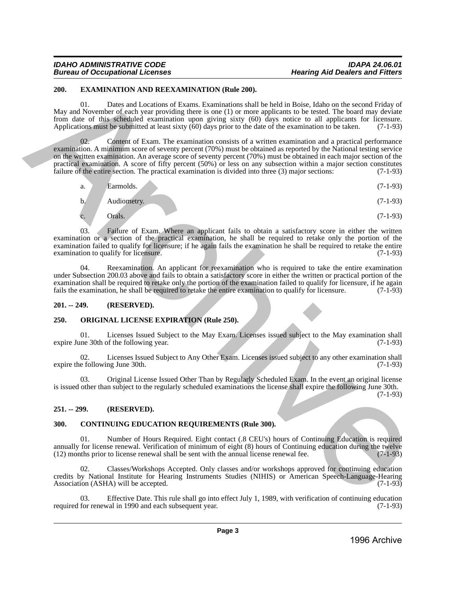# *IDAHO ADMINISTRATIVE CODE IDAPA 24.06.01*

# *Bureau of Occupational Licenses Hearing Aid Dealers and Fitters*

# <span id="page-2-0"></span>**200. EXAMINATION AND REEXAMINATION (Rule 200).**

01. Dates and Locations of Exams. Examinations shall be held in Boise, Idaho on the second Friday of May and November of each year providing there is one (1) or more applicants to be tested. The board may deviate from date of this scheduled examination upon giving sixty (60) days notice to all applicants for licensure. Applications must be submitted at least sixty (60) days prior to the date of the examination to be taken. (7-1-93)

Content of Exam. The examination consists of a written examination and a practical performance examination. A minimum score of seventy percent (70%) must be obtained as reported by the National testing service on the written examination. An average score of seventy percent (70%) must be obtained in each major section of the practical examination. A score of fifty percent (50%) or less on any subsection within a major section constitutes failure of the entire section. The practical examination is divided into three (3) major sections: (7-1-93) 2004. CAA WHO NEW NEW MATHATITON (Rede 2001).<br>
Then said Locations of Exame Exaministics shall be lead in Boxe, liable until swarch Friday of<br>
May and Movemetric dechiates the three contributions of the boxe of the boxe o

$$
a. \qquad \text{Earmolds.} \tag{7-1-93}
$$

$$
b. \hspace{1cm} \text{Audiometry.} \tag{7-1-93}
$$

$$
c. \qquad \text{Orals.} \tag{7-1-93}
$$

03. Failure of Exam. Where an applicant fails to obtain a satisfactory score in either the written examination or a section of the practical examination, he shall be required to retake only the portion of the examination failed to qualify for licensure; if he again fails the examination he shall be required to retake the entire examination to qualify for licensure. examination to qualify for licensure.

04. Reexamination. An applicant for reexamination who is required to take the entire examination under Subsection 200.03 above and fails to obtain a satisfactory score in either the written or practical portion of the examination shall be required to retake only the portion of the examination failed to qualify for licensure, if he again fails the examination, he shall be required to retake the entire examination to qualify for licensure fails the examination, he shall be required to retake the entire examination to qualify for licensure.

# <span id="page-2-1"></span>**201. -- 249. (RESERVED).**

# <span id="page-2-2"></span>**250. ORIGINAL LICENSE EXPIRATION (Rule 250).**

01. Licenses Issued Subject to the May Exam. Licenses issued subject to the May examination shall ine 30th of the following year. (7-1-93) expire June 30th of the following year.

02. Licenses Issued Subject to Any Other Exam. Licenses issued subject to any other examination shall e following June 30th. (7-1-93) expire the following June 30th.

03. Original License Issued Other Than by Regularly Scheduled Exam. In the event an original license is issued other than subject to the regularly scheduled examinations the license shall expire the following June 30th.

(7-1-93)

# <span id="page-2-3"></span>**251. -- 299. (RESERVED).**

# <span id="page-2-4"></span>**300. CONTINUING EDUCATION REQUIREMENTS (Rule 300).**

01. Number of Hours Required. Eight contact (.8 CEU's) hours of Continuing Education is required annually for license renewal. Verification of minimum of eight  $(8)$  hours of Continuing education during the twelve  $(12)$  months prior to license renewal shall be sent with the annual license renewal fee.  $(7-1-93)$  $(12)$  months prior to license renewal shall be sent with the annual license renewal fee.

02. Classes/Workshops Accepted. Only classes and/or workshops approved for continuing education credits by National Institute for Hearing Instruments Studies (NIHIS) or American Speech-Language-Hearing Association (ASHA) will be accepted. (7-1-93)

Effective Date. This rule shall go into effect July 1, 1989, with verification of continuing education val in 1990 and each subsequent year. (7-1-93) required for renewal in 1990 and each subsequent year.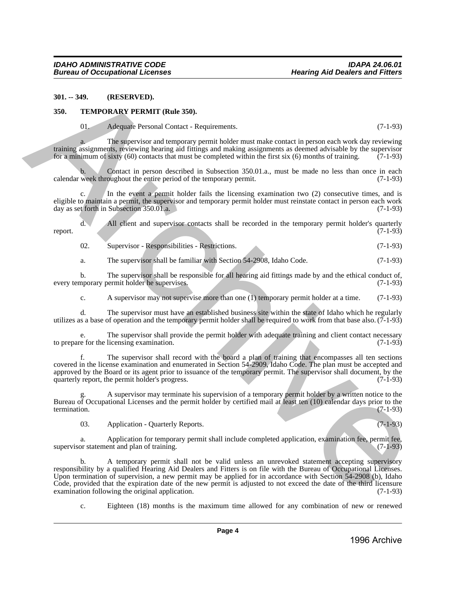#### <span id="page-3-0"></span>**301. -- 349. (RESERVED).**

#### <span id="page-3-1"></span>**350. TEMPORARY PERMIT (Rule 350).**

01. Adequate Personal Contact - Requirements. (7-1-93)

a. The supervisor and temporary permit holder must make contact in person each work day reviewing training assignments, reviewing hearing aid fittings and making assignments as deemed advisable by the supervisor for a minimum of sixty (60) contacts that must be completed within the first six (6) months of training.  $(7-1-93)$ 

Contact in person described in Subsection 350.01.a., must be made no less than once in each oughout the entire period of the temporary permit.  $(7-1-93)$ calendar week throughout the entire period of the temporary permit.

c. In the event a permit holder fails the licensing examination two (2) consecutive times, and is eligible to maintain a permit, the supervisor and temporary permit holder must reinstate contact in person each work day as set forth in Subsection 350.01.a. day as set forth in Subsection  $350.01$ .a.

d. All client and supervisor contacts shall be recorded in the temporary permit holder's quarterly report. (7-1-93)

02. Supervisor - Responsibilities - Restrictions. (7-1-93)

a. The supervisor shall be familiar with Section 54-2908, Idaho Code. (7-1-93)

b. The supervisor shall be responsible for all hearing aid fittings made by and the ethical conduct of, nporary permit holder he supervises. (7-1-93) every temporary permit holder he supervises.

c. A supervisor may not supervise more than one (1) temporary permit holder at a time. (7-1-93)

d. The supervisor must have an established business site within the state of Idaho which he regularly utilizes as a base of operation and the temporary permit holder shall be required to work from that base also. (7-1-93)

e. The supervisor shall provide the permit holder with adequate training and client contact necessary re for the licensing examination. (7-1-93) to prepare for the licensing examination.

f. The supervisor shall record with the board a plan of training that encompasses all ten sections covered in the license examination and enumerated in Section 54-2909, Idaho Code. The plan must be accepted and approved by the Board or its agent prior to issuance of the temporary permit. The supervisor shall document, by the quarterly report, the permit holder's progress. (7-1-93) quarterly report, the permit holder's progress.

A supervisor may terminate his supervision of a temporary permit holder by a written notice to the Bureau of Occupational Licenses and the permit holder by certified mail at least ten (10) calendar days prior to the termination. (7-1-93) termination. (7-1-93)

03. Application - Quarterly Reports. (7-1-93)

a. Application for temporary permit shall include completed application, examination fee, permit fee, or statement and plan of training. (7-1-93) supervisor statement and plan of training.

b. A temporary permit shall not be valid unless an unrevoked statement accepting supervisory responsibility by a qualified Hearing Aid Dealers and Fitters is on file with the Bureau of Occupational Licenses. Upon termination of supervision, a new permit may be applied for in accordance with Section 54-2908 (b), Idaho Code, provided that the expiration date of the new permit is adjusted to not exceed the date of the third licensure examination following the original application. (7-1-93) examination following the original application. 30. **APP.** (RESERVED).<br> **ARCHIVENE PERSONATES**<br> **ARCHIVENE PERSONATES**<br> **ARCHIVENE PERSONATES**<br> **ARCHIVENE PERSONATES (2018)**<br> **ARCHIVENE PERSONATES (2019)**<br> **ARCHIVENE PERSONATES (2019)**<br> **ARCHIVENE PERSONATES (2019)**<br>

c. Eighteen (18) months is the maximum time allowed for any combination of new or renewed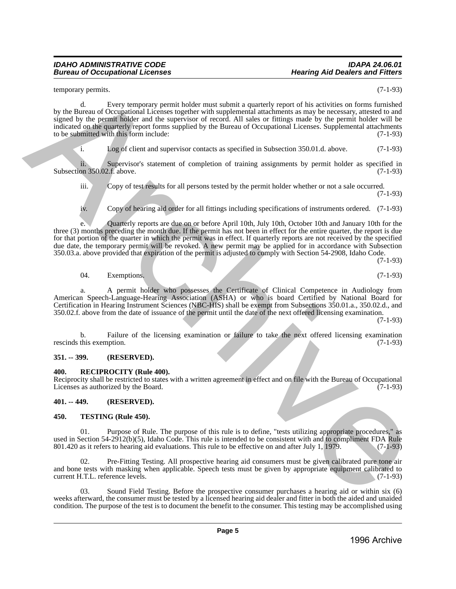### *IDAHO ADMINISTRATIVE CODE IDAPA 24.06.01 Bureau of Occupational Licenses*

temporary permits. (7-1-93)

d. Every temporary permit holder must submit a quarterly report of his activities on forms furnished by the Bureau of Occupational Licenses together with supplemental attachments as may be necessary, attested to and signed by the permit holder and the supervisor of record. All sales or fittings made by the permit holder will be indicated on the quarterly report forms supplied by the Bureau of Occupational Licenses. Supplemental attachments to be submitted with this form include: (7-1-93) to be submitted with this form include: terminal by the Branchive Street, between the specifical and the specifical street in the specifical street of Controlline and the specifical street of the Branchive Street of the Branchive Street of the Branchive Street

i. Log of client and supervisor contacts as specified in Subsection 350.01.d. above. (7-1-93)

ii. Supervisor's statement of completion of training assignments by permit holder as specified in on 350.02.f. above. (7-1-93) Subsection 350.02.f. above.

iii. Copy of test results for all persons tested by the permit holder whether or not a sale occurred.

(7-1-93)

iv. Copy of hearing aid order for all fittings including specifications of instruments ordered. (7-1-93)

e. Quarterly reports are due on or before April 10th, July 10th, October 10th and January 10th for the three (3) months preceding the month due. If the permit has not been in effect for the entire quarter, the report is due for that portion of the quarter in which the permit was in effect. If quarterly reports are not received by the specified due date, the temporary permit will be revoked. A new permit may be applied for in accordance with Subsection 350.03.a. above provided that expiration of the permit is adjusted to comply with Section 54-2908, Idaho Code.

(7-1-93)

04. Exemptions. (7-1-93)

a. A permit holder who possesses the Certificate of Clinical Competence in Audiology from American Speech-Language-Hearing Association (ASHA) or who is board Certified by National Board for Certification in Hearing Instrument Sciences (NBC-HIS) shall be exempt from Subsections 350.01.a., 350.02.d., and 350.02.f. above from the date of issuance of the permit until the date of the next offered licensing examination.

(7-1-93)

b. Failure of the licensing examination or failure to take the next offered licensing examination this exemption. (7-1-93) rescinds this exemption.

### <span id="page-4-0"></span>**351. -- 399. (RESERVED).**

### <span id="page-4-1"></span>**400. RECIPROCITY (Rule 400).**

Reciprocity shall be restricted to states with a written agreement in effect and on file with the Bureau of Occupational Licenses as authorized by the Board. Licenses as authorized by the Board.

# <span id="page-4-2"></span>**401. -- 449. (RESERVED).**

### <span id="page-4-3"></span>**450. TESTING (Rule 450).**

01. Purpose of Rule. The purpose of this rule is to define, "tests utilizing appropriate procedures," as used in Section 54-2912(b)(5), Idaho Code. This rule is intended to be consistent with and to compliment FDA Rule 801.420 as it refers to hearing aid evaluations. This rule to be effective on and after July 1, 1979. (7-1-9 801.420 as it refers to hearing aid evaluations. This rule to be effective on and after July  $1,1979$ .

02. Pre-Fitting Testing. All prospective hearing aid consumers must be given calibrated pure tone air and bone tests with masking when applicable. Speech tests must be given by appropriate equipment calibrated to current H.T.L. reference levels. (7-1-93) current H.T.L. reference levels.

03. Sound Field Testing. Before the prospective consumer purchases a hearing aid or within six (6) weeks afterward, the consumer must be tested by a licensed hearing aid dealer and fitter in both the aided and unaided condition. The purpose of the test is to document the benefit to the consumer. This testing may be accomplished using